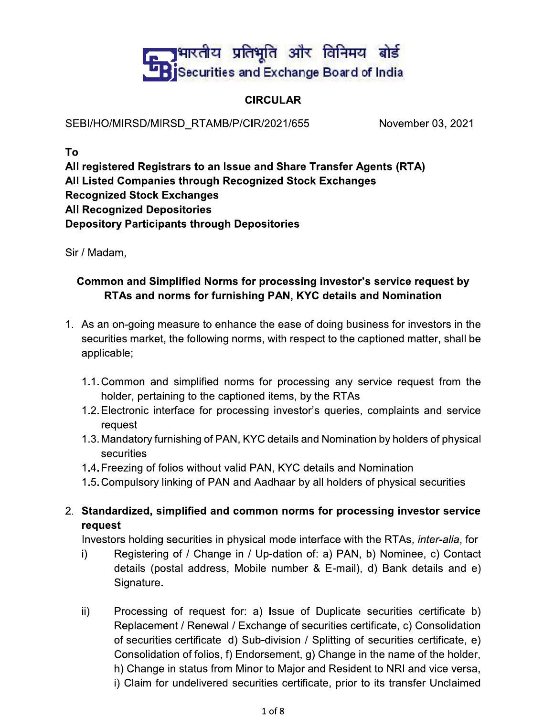## <mark>्र</mark>भारतीय प्रतिभूति और विनिमय बोर्ड **DR** Securities and Exchange Board of India

## **CIRCULAR**

SEBI/HO/MIRSD/MIRSD RTAMB/P/CIR/2021/655

November 03, 2021

To

All registered Registrars to an Issue and Share Transfer Agents (RTA) All Listed Companies through Recognized Stock Exchanges **Recognized Stock Exchanges All Recognized Depositories Depository Participants through Depositories** 

Sir / Madam,

### Common and Simplified Norms for processing investor's service request by RTAs and norms for furnishing PAN, KYC details and Nomination

- 1. As an on-going measure to enhance the ease of doing business for investors in the securities market, the following norms, with respect to the captioned matter, shall be applicable;
	- 1.1. Common and simplified norms for processing any service request from the holder, pertaining to the captioned items, by the RTAs
	- 1.2. Electronic interface for processing investor's queries, complaints and service request
	- 1.3. Mandatory furnishing of PAN, KYC details and Nomination by holders of physical securities
	- 1.4. Freezing of folios without valid PAN, KYC details and Nomination
	- 1.5. Compulsory linking of PAN and Aadhaar by all holders of physical securities
- 2. Standardized, simplified and common norms for processing investor service request

Investors holding securities in physical mode interface with the RTAs, *inter-alia*, for

- i) Registering of / Change in / Up-dation of: a) PAN, b) Nominee, c) Contact details (postal address, Mobile number & E-mail), d) Bank details and e) Signature.
- $\mathsf{ii}$ ) Processing of request for: a) Issue of Duplicate securities certificate b) Replacement / Renewal / Exchange of securities certificate, c) Consolidation of securities certificate d) Sub-division / Splitting of securities certificate, e) Consolidation of folios, f) Endorsement, g) Change in the name of the holder, h) Change in status from Minor to Major and Resident to NRI and vice versa, i) Claim for undelivered securities certificate, prior to its transfer Unclaimed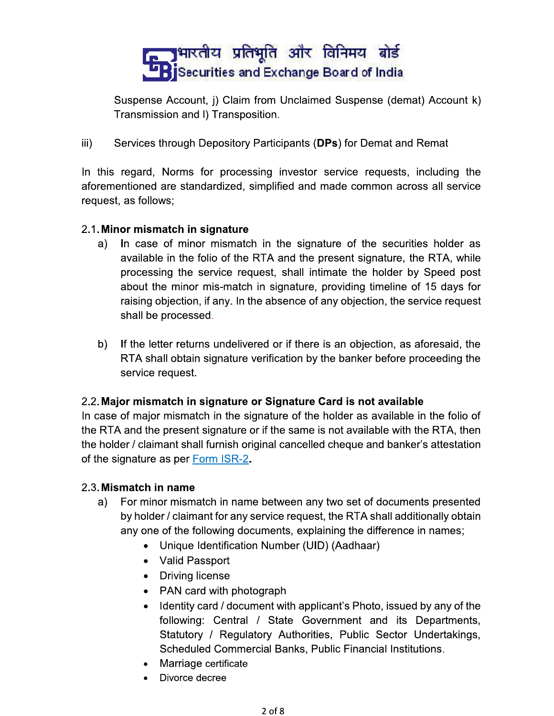## <mark>त्या भारतीय प्रतिभूति और विनिमय बोर्ड</mark> **LE Securities and Exchange Board of India**

Suspense Account, i) Claim from Unclaimed Suspense (demat) Account k) Transmission and I) Transposition.

 $\mathsf{iii}$ Services through Depository Participants (DPs) for Demat and Remat

In this regard, Norms for processing investor service requests, including the aforementioned are standardized, simplified and made common across all service request, as follows;

#### 2.1. Minor mismatch in signature

- In case of minor mismatch in the signature of the securities holder as a) available in the folio of the RTA and the present signature, the RTA, while processing the service request, shall intimate the holder by Speed post about the minor mis-match in signature, providing timeline of 15 days for raising objection, if any. In the absence of any objection, the service request shall be processed.
- b) If the letter returns undelivered or if there is an objection, as aforesaid, the RTA shall obtain signature verification by the banker before proceeding the service request.

### 2.2. Major mismatch in signature or Signature Card is not available

In case of major mismatch in the signature of the holder as available in the folio of the RTA and the present signature or if the same is not available with the RTA, then the holder / claimant shall furnish original cancelled cheque and banker's attestation of the signature as per Form ISR-2.

#### 2.3. Mismatch in name

- a) For minor mismatch in name between any two set of documents presented by holder / claimant for any service request, the RTA shall additionally obtain any one of the following documents, explaining the difference in names;
	- Unique Identification Number (UID) (Aadhaar)
	- Valid Passport
	- Driving license
	- PAN card with photograph
	- Identity card / document with applicant's Photo, issued by any of the following: Central / State Government and its Departments, Statutory / Regulatory Authorities, Public Sector Undertakings, Scheduled Commercial Banks, Public Financial Institutions.
	- Marriage certificate
	- Divorce decree  $\bullet$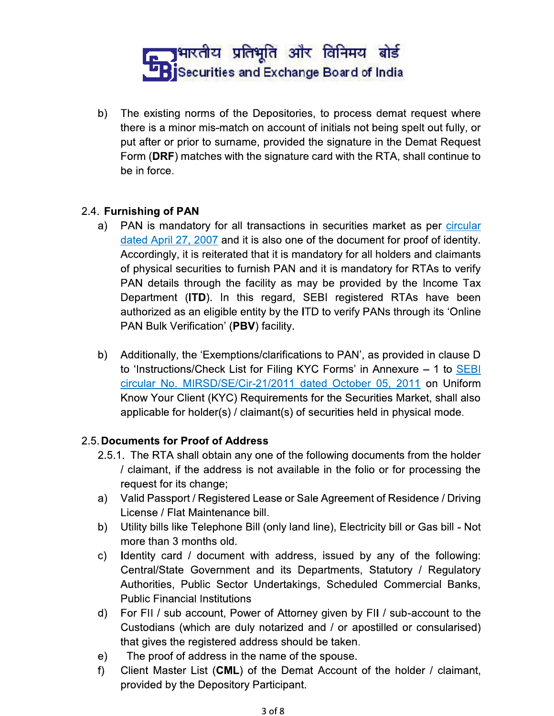## <u>ि ।</u> भारतीय प्रतिभूति और विनिमय बोर्ड **L'Bi**Securities and Exchange Board of India

b) The existing norms of the Depositories, to process demat request where there is a minor mis-match on account of initials not being spelt out fully, or put after or prior to surname, provided the signature in the Demat Request Form (DRF) matches with the signature card with the RTA, shall continue to be in force.

### 2.4. Furnishing of PAN

- PAN is mandatory for all transactions in securities market as per circular a) dated April 27, 2007 and it is also one of the document for proof of identity. Accordingly, it is reiterated that it is mandatory for all holders and claimants of physical securities to furnish PAN and it is mandatory for RTAs to verify PAN details through the facility as may be provided by the Income Tax Department (ITD). In this regard, SEBI registered RTAs have been authorized as an eligible entity by the ITD to verify PANs through its 'Online PAN Bulk Verification' (PBV) facility.
- Additionally, the 'Exemptions/clarifications to PAN', as provided in clause D b). to 'Instructions/Check List for Filing KYC Forms' in Annexure – 1 to SEBI circular No. MIRSD/SE/Cir-21/2011 dated October 05, 2011 on Uniform Know Your Client (KYC) Requirements for the Securities Market, shall also applicable for holder(s) / claimant(s) of securities held in physical mode.

### 2.5. Documents for Proof of Address

- 2.5.1. The RTA shall obtain any one of the following documents from the holder / claimant, if the address is not available in the folio or for processing the request for its change;
- Valid Passport / Registered Lease or Sale Agreement of Residence / Driving a) License / Flat Maintenance bill.
- Utility bills like Telephone Bill (only land line), Electricity bill or Gas bill Not b) more than 3 months old.
- C) Identity card / document with address, issued by any of the following: Central/State Government and its Departments, Statutory / Regulatory Authorities, Public Sector Undertakings, Scheduled Commercial Banks, **Public Financial Institutions**
- d) For FII / sub account, Power of Attorney given by FII / sub-account to the Custodians (which are duly notarized and / or apostilled or consularised) that gives the registered address should be taken.
- The proof of address in the name of the spouse.  $e)$
- $f$ ) Client Master List (CML) of the Demat Account of the holder / claimant, provided by the Depository Participant.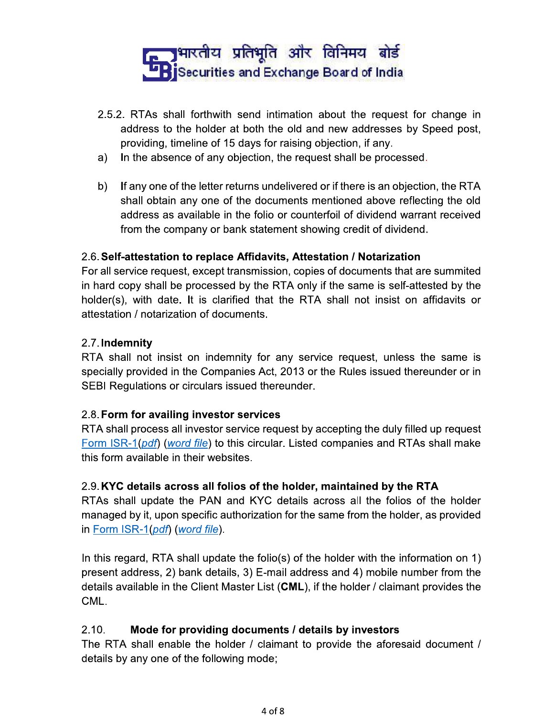## <mark>त्या भारतीय प्रतिभूति और विनिमय बोर्ड</mark> **LE Securities and Exchange Board of India**

- 2.5.2. RTAs shall forthwith send intimation about the request for change in address to the holder at both the old and new addresses by Speed post, providing, timeline of 15 days for raising objection, if any.
- In the absence of any objection, the request shall be processed. a)
- b) If any one of the letter returns undelivered or if there is an objection, the RTA shall obtain any one of the documents mentioned above reflecting the old address as available in the folio or counterfoil of dividend warrant received from the company or bank statement showing credit of dividend.

### 2.6. Self-attestation to replace Affidavits, Attestation / Notarization

For all service request, except transmission, copies of documents that are summited in hard copy shall be processed by the RTA only if the same is self-attested by the holder(s), with date. It is clarified that the RTA shall not insist on affidavits or attestation / notarization of documents.

#### 2.7. Indemnity

RTA shall not insist on indemnity for any service request, unless the same is specially provided in the Companies Act, 2013 or the Rules issued thereunder or in SEBI Regulations or circulars issued thereunder.

### 2.8. Form for availing investor services

RTA shall process all investor service request by accepting the duly filled up request Form ISR-1(pdf) (word file) to this circular. Listed companies and RTAs shall make this form available in their websites.

### 2.9. KYC details across all folios of the holder, maintained by the RTA

RTAs shall update the PAN and KYC details across all the folios of the holder managed by it, upon specific authorization for the same from the holder, as provided in Form ISR-1(pdf) (word file).

In this regard, RTA shall update the folio(s) of the holder with the information on 1) present address, 2) bank details, 3) E-mail address and 4) mobile number from the details available in the Client Master List (CML), if the holder / claimant provides the CML.

#### $2.10.$ Mode for providing documents / details by investors

The RTA shall enable the holder / claimant to provide the aforesaid document / details by any one of the following mode;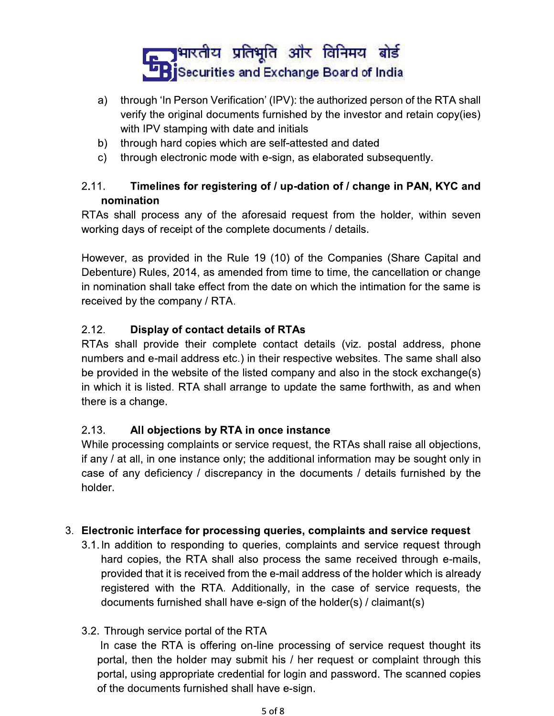## <u>ि अमारतीय प्रतिभूति और विनिमय बोर्ड</u> **LE Securities and Exchange Board of India**

- through 'In Person Verification' (IPV): the authorized person of the RTA shall a) verify the original documents furnished by the investor and retain copy(ies) with IPV stamping with date and initials
- b) through hard copies which are self-attested and dated
- through electronic mode with e-sign, as elaborated subsequently. C) -

#### $2.11.$ Timelines for registering of / up-dation of / change in PAN, KYC and nomination

RTAs shall process any of the aforesaid request from the holder, within seven working days of receipt of the complete documents / details.

However, as provided in the Rule 19 (10) of the Companies (Share Capital and Debenture) Rules, 2014, as amended from time to time, the cancellation or change in nomination shall take effect from the date on which the intimation for the same is received by the company / RTA.

#### $2.12.$ **Display of contact details of RTAs**

RTAs shall provide their complete contact details (viz. postal address, phone numbers and e-mail address etc.) in their respective websites. The same shall also be provided in the website of the listed company and also in the stock exchange(s) in which it is listed. RTA shall arrange to update the same forthwith, as and when there is a change.

#### $2.13.$ All objections by RTA in once instance

While processing complaints or service request, the RTAs shall raise all objections, if any / at all, in one instance only; the additional information may be sought only in case of any deficiency / discrepancy in the documents / details furnished by the holder.

### 3. Electronic interface for processing queries, complaints and service request

3.1. In addition to responding to queries, complaints and service request through hard copies, the RTA shall also process the same received through e-mails, provided that it is received from the e-mail address of the holder which is already registered with the RTA. Additionally, in the case of service requests, the documents furnished shall have e-sign of the holder(s) / claimant(s)

### 3.2. Through service portal of the RTA

In case the RTA is offering on-line processing of service request thought its portal, then the holder may submit his / her request or complaint through this portal, using appropriate credential for login and password. The scanned copies of the documents furnished shall have e-sign.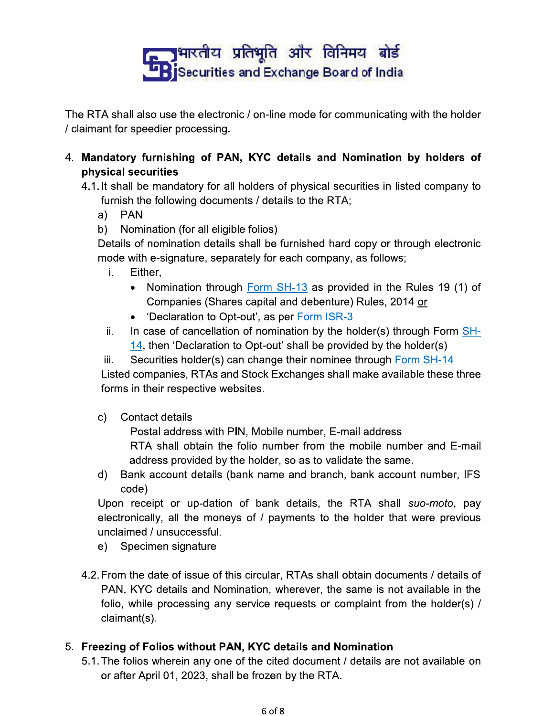# <u>ि अमारतीय प्रतिभूति और विनिमय बोर्ड</u> **L'BiSecurities and Exchange Board of India**

The RTA shall also use the electronic / on-line mode for communicating with the holder / claimant for speedier processing.

4. Mandatory furnishing of PAN, KYC details and Nomination by holders of physical securities

4.1. It shall be mandatory for all holders of physical securities in listed company to furnish the following documents / details to the RTA;

- **PAN** a)
- b) Nomination (for all eligible folios)

Details of nomination details shall be furnished hard copy or through electronic mode with e-signature, separately for each company, as follows;

- j. Either,
	- Nomination through Form SH-13 as provided in the Rules 19 (1) of Companies (Shares capital and debenture) Rules, 2014 or
	- 'Declaration to Opt-out', as per Form ISR-3
- In case of cancellation of nomination by the holder(s) through Form SHii. 14, then 'Declaration to Opt-out' shall be provided by the holder(s)
- Securities holder(s) can change their nominee through Form SH-14 iii.

Listed companies, RTAs and Stock Exchanges shall make available these three forms in their respective websites.

c) **Contact details** 

Postal address with PIN, Mobile number, E-mail address

RTA shall obtain the folio number from the mobile number and E-mail address provided by the holder, so as to validate the same.

d) Bank account details (bank name and branch, bank account number, IFS code)

Upon receipt or up-dation of bank details, the RTA shall suo-moto, pay electronically, all the moneys of / payments to the holder that were previous unclaimed / unsuccessful.

- Specimen signature e) –
- 4.2. From the date of issue of this circular, RTAs shall obtain documents / details of PAN, KYC details and Nomination, wherever, the same is not available in the folio, while processing any service requests or complaint from the holder(s) /  $claimant(s)$ .

### 5. Freezing of Folios without PAN, KYC details and Nomination

5.1. The folios wherein any one of the cited document / details are not available on or after April 01, 2023, shall be frozen by the RTA.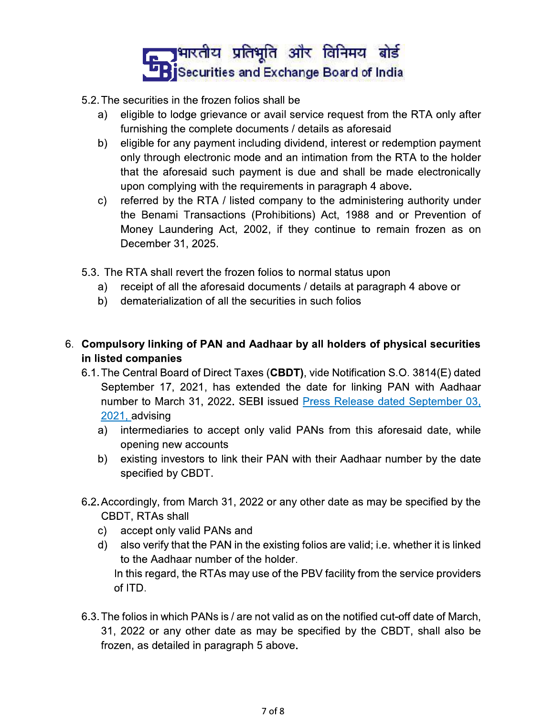# <mark>त्या भारतीय प्रतिभूति और विनिमय बोर्ड</mark> **L'BiSecurities and Exchange Board of India**

- 5.2. The securities in the frozen folios shall be
	- eligible to lodge grievance or avail service request from the RTA only after a) furnishing the complete documents / details as aforesaid
	- b) eligible for any payment including dividend, interest or redemption payment only through electronic mode and an intimation from the RTA to the holder that the aforesaid such payment is due and shall be made electronically upon complying with the requirements in paragraph 4 above.
	- referred by the RTA / listed company to the administering authority under C) the Benami Transactions (Prohibitions) Act, 1988 and or Prevention of Money Laundering Act, 2002, if they continue to remain frozen as on December 31, 2025.
- 5.3. The RTA shall revert the frozen folios to normal status upon
	- receipt of all the aforesaid documents / details at paragraph 4 above or a) -
	- dematerialization of all the securities in such folios b)
- 6. Compulsory linking of PAN and Aadhaar by all holders of physical securities in listed companies
	- 6.1. The Central Board of Direct Taxes (CBDT), vide Notification S.O. 3814(E) dated September 17, 2021, has extended the date for linking PAN with Aadhaar number to March 31, 2022. SEBI issued Press Release dated September 03, 2021, advising
		- a) intermediaries to accept only valid PANs from this aforesaid date, while opening new accounts
		- b) existing investors to link their PAN with their Aadhaar number by the date specified by CBDT.
	- 6.2. Accordingly, from March 31, 2022 or any other date as may be specified by the CBDT, RTAs shall
		- accept only valid PANs and C)
		- also verify that the PAN in the existing folios are valid; i.e. whether it is linked d) l to the Aadhaar number of the holder. In this regard, the RTAs may use of the PBV facility from the service providers of ITD.
	- 6.3. The folios in which PANs is / are not valid as on the notified cut-off date of March, 31, 2022 or any other date as may be specified by the CBDT, shall also be frozen, as detailed in paragraph 5 above.